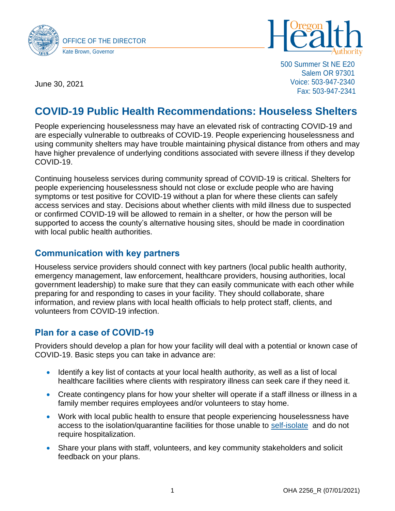



500 Summer St NE E20 Salem OR 97301 Voice: 503-947-2340 Fax: 503-947-2341

June 30, 2021

# **COVID-19 Public Health Recommendations: Houseless Shelters**

People experiencing houselessness may have an elevated risk of contracting COVID-19 and are especially vulnerable to outbreaks of COVID-19. People experiencing houselessness and using community shelters may have trouble maintaining physical distance from others and may have higher prevalence of underlying conditions associated with severe illness if they develop COVID-19.

Continuing houseless services during community spread of COVID-19 is critical. Shelters for people experiencing houselessness should not close or exclude people who are having symptoms or test positive for COVID-19 without a plan for where these clients can safely access services and stay. Decisions about whether clients with mild illness due to suspected or confirmed COVID-19 will be allowed to remain in a shelter, or how the person will be supported to access the county's alternative housing sites, should be made in coordination with local public health authorities.

### **Communication with key partners**

Houseless service providers should connect with key partners (local public health authority, emergency management, law enforcement, healthcare providers, housing authorities, local government leadership) to make sure that they can easily communicate with each other while preparing for and responding to cases in your facility. They should collaborate, share information, and review plans with local health officials to help protect staff, clients, and volunteers from COVID-19 infection.

## **Plan for a case of COVID-19**

Providers should develop a plan for how your facility will deal with a potential or known case of COVID-19. Basic steps you can take in advance are:

- Identify a key list of contacts at your local health authority, as well as a list of local healthcare facilities where clients with respiratory illness can seek care if they need it.
- Create contingency plans for how your shelter will operate if a staff illness or illness in a family member requires employees and/or volunteers to stay home.
- Work with local public health to ensure that people experiencing houselessness have access to the isolation/quarantine facilities for those unable to [self-isolate](https://www.cdc.gov/coronavirus/2019-ncov/if-you-are-sick/isolation.html) and do not require hospitalization.
- Share your plans with staff, volunteers, and key community stakeholders and solicit feedback on your plans.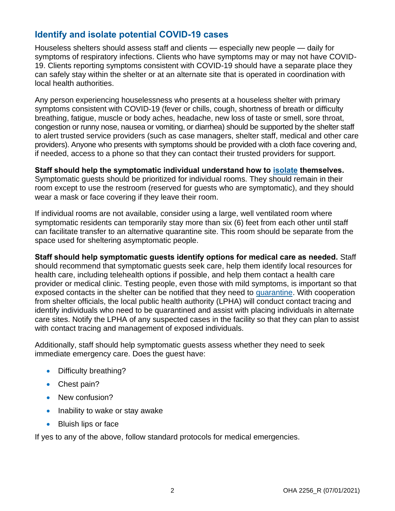## **Identify and isolate potential COVID-19 cases**

Houseless shelters should assess staff and clients — especially new people — daily for symptoms of respiratory infections. Clients who have symptoms may or may not have COVID-19. Clients reporting symptoms consistent with COVID-19 should have a separate place they can safely stay within the shelter or at an alternate site that is operated in coordination with local health authorities.

Any person experiencing houselessness who presents at a houseless shelter with primary symptoms consistent with COVID-19 (fever or chills, cough, shortness of breath or difficulty breathing, fatigue, muscle or body aches, headache, new loss of taste or smell, sore throat, congestion or runny nose, nausea or vomiting, or diarrhea) should be supported by the shelter staff to alert trusted service providers (such as case managers, shelter staff, medical and other care providers). Anyone who presents with symptoms should be provided with a cloth face covering and, if needed, access to a phone so that they can contact their trusted providers for support.

**Staff should help the symptomatic individual understand how to [isolate](https://www.cdc.gov/coronavirus/2019-ncov/if-you-are-sick/isolation.html) themselves.** Symptomatic guests should be prioritized for individual rooms. They should remain in their room except to use the restroom (reserved for guests who are symptomatic), and they should wear a mask or face covering if they leave their room.

If individual rooms are not available, consider using a large, well ventilated room where symptomatic residents can temporarily stay more than six (6) feet from each other until staff can facilitate transfer to an alternative quarantine site. This room should be separate from the space used for sheltering asymptomatic people.

**Staff should help symptomatic guests identify options for medical care as needed.** Staff should recommend that symptomatic guests seek care, help them identify local resources for health care, including telehealth options if possible, and help them contact a health care provider or medical clinic. Testing people, even those with mild symptoms, is important so that exposed contacts in the shelter can be notified that they need to [quarantine.](https://www.cdc.gov/coronavirus/2019-ncov/if-you-are-sick/quarantine.html) With cooperation from shelter officials, the local public health authority (LPHA) will conduct contact tracing and identify individuals who need to be quarantined and assist with placing individuals in alternate care sites. Notify the LPHA of any suspected cases in the facility so that they can plan to assist with contact tracing and management of exposed individuals.

Additionally, staff should help symptomatic guests assess whether they need to seek immediate emergency care. Does the guest have:

- Difficulty breathing?
- Chest pain?
- New confusion?
- Inability to wake or stay awake
- Bluish lips or face

If yes to any of the above, follow standard protocols for medical emergencies.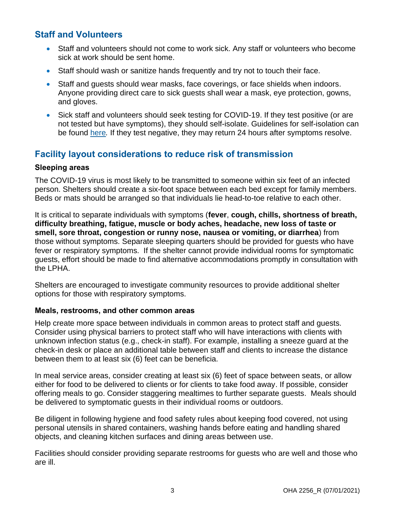## **Staff and Volunteers**

- Staff and volunteers should not come to work sick. Any staff or volunteers who become sick at work should be sent home.
- Staff should wash or sanitize hands frequently and try not to touch their face.
- Staff and quests should wear masks, face coverings, or face shields when indoors. Anyone providing direct care to sick guests shall wear a mask, eye protection, gowns, and gloves.
- Sick staff and volunteers should seek testing for COVID-19. If they test positive (or are not tested but have symptoms), they should self-isolate. Guidelines for self-isolation can be found [here](https://www.cdc.gov/coronavirus/2019-ncov/if-you-are-sick/quarantine.html)*.* If they test negative, they may return 24 hours after symptoms resolve.

## **Facility layout considerations to reduce risk of transmission**

#### **Sleeping areas**

The COVID-19 virus is most likely to be transmitted to someone within six feet of an infected person. Shelters should create a six-foot space between each bed except for family members. Beds or mats should be arranged so that individuals lie head-to-toe relative to each other.

It is critical to separate individuals with symptoms (**fever**, **cough, chills, shortness of breath, difficulty breathing, fatigue, muscle or body aches, headache, new loss of taste or smell, sore throat, congestion or runny nose, nausea or vomiting, or diarrhea**) from those without symptoms. Separate sleeping quarters should be provided for guests who have fever or respiratory symptoms. If the shelter cannot provide individual rooms for symptomatic guests, effort should be made to find alternative accommodations promptly in consultation with the LPHA.

Shelters are encouraged to investigate community resources to provide additional shelter options for those with respiratory symptoms.

#### **Meals, restrooms, and other common areas**

Help create more space between individuals in common areas to protect staff and guests. Consider using physical barriers to protect staff who will have interactions with clients with unknown infection status (e.g., check-in staff). For example, installing a sneeze guard at the check-in desk or place an additional table between staff and clients to increase the distance between them to at least six (6) feet can be beneficia.

In meal service areas, consider creating at least six (6) feet of space between seats, or allow either for food to be delivered to clients or for clients to take food away. If possible, consider offering meals to go. Consider staggering mealtimes to further separate guests. Meals should be delivered to symptomatic guests in their individual rooms or outdoors.

Be diligent in following hygiene and food safety rules about keeping food covered, not using personal utensils in shared containers, washing hands before eating and handling shared objects, and cleaning kitchen surfaces and dining areas between use.

Facilities should consider providing separate restrooms for guests who are well and those who are ill.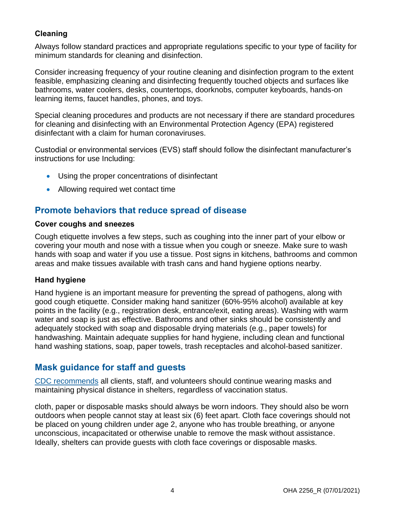### **Cleaning**

Always follow standard practices and appropriate regulations specific to your type of facility for minimum standards for cleaning and disinfection.

Consider increasing frequency of your routine cleaning and disinfection program to the extent feasible, emphasizing cleaning and disinfecting frequently touched objects and surfaces like bathrooms, water coolers, desks, countertops, doorknobs, computer keyboards, hands-on learning items, faucet handles, phones, and toys.

Special cleaning procedures and products are not necessary if there are standard procedures for cleaning and disinfecting with an Environmental Protection Agency (EPA) registered disinfectant with a claim for human coronaviruses.

Custodial or environmental services (EVS) staff should follow the disinfectant manufacturer's instructions for use Including:

- Using the proper concentrations of disinfectant
- Allowing required wet contact time

## **Promote behaviors that reduce spread of disease**

#### **Cover coughs and sneezes**

Cough etiquette involves a few steps, such as coughing into the inner part of your elbow or covering your mouth and nose with a tissue when you cough or sneeze. Make sure to wash hands with soap and water if you use a tissue. Post signs in kitchens, bathrooms and common areas and make tissues available with trash cans and hand hygiene options nearby.

#### **Hand hygiene**

Hand hygiene is an important measure for preventing the spread of pathogens, along with good cough etiquette. Consider making hand sanitizer (60%-95% alcohol) available at key points in the facility (e.g., registration desk, entrance/exit, eating areas). Washing with warm water and soap is just as effective. Bathrooms and other sinks should be consistently and adequately stocked with soap and disposable drying materials (e.g., paper towels) for handwashing. Maintain adequate supplies for hand hygiene, including clean and functional hand washing stations, soap, paper towels, trash receptacles and alcohol-based sanitizer.

## **Mask guidance for staff and guests**

[CDC recommends](https://www.cdc.gov/coronavirus/2019-ncov/community/homeless-shelters/plan-prepare-respond.html) all clients, staff, and volunteers should continue wearing masks and maintaining physical distance in shelters, regardless of vaccination status.

cloth, paper or disposable masks should always be worn indoors. They should also be worn outdoors when people cannot stay at least six (6) feet apart. Cloth face coverings should not be placed on young children under age 2, anyone who has trouble breathing, or anyone unconscious, incapacitated or otherwise unable to remove the mask without assistance. Ideally, shelters can provide guests with cloth face coverings or disposable masks.